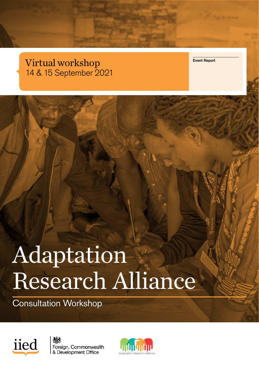# Virtual workshop 14 & 15 September 2021

Event Report

# Adaptation Research Alliance

Consultation Workshop





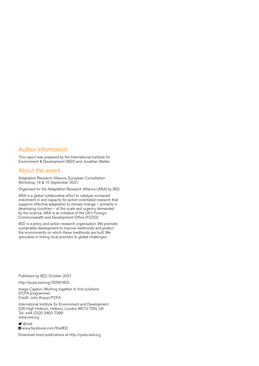## Author information

This report was prepared by the International Institute for Environment & Development (IIED) and Jonathan Walter.

## About the event

Adaptation Research Alliance, European Consultation Workshop, 14 & 15 September 2021.

Organised for the Adaptation Research Alliance (ARA) by IIED.

ARA is a global collaborative effort to catalyse increased investment in and capacity for action-orientated research that supports effective adaptation to climate change – primarily in developing countries – at the scale and urgency demanded by the science. ARA is an initiative of the UK's Foreign, Commonwealth and Development Office (FCDO).

IIED is a policy and action research organisation. We promote sustainable development to improve livelihoods and protect the environments on which these livelihoods are built. We specialise in linking local priorities to global challenges.

Published by IIED, October 2021

<http://pubs.iied.org/20561IIED>

Image Caption: Working together to find solutions (FCFA programme) Credit: Julio Araujo/FCFA.

International Institute for Environment and Development 235 High Holborn, Holborn, London WC1V 7DN, UK Tel: +44 (0)20 3463 7399 [www.iied.org](http://www.iied.org)

**y** [@iied](https://twitter.com/iied) **F**I [www.facebook.com/theIIED](http://www.facebook.com/theIIED)

Download more publications at<http://pubs.iied.org>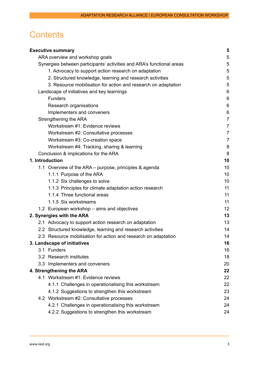# **Contents**

|                 | <b>Executive summary</b>                                              | 5               |
|-----------------|-----------------------------------------------------------------------|-----------------|
|                 | ARA overview and workshop goals                                       | 5               |
|                 | Synergies between participants' activities and ARA's functional areas | 5               |
|                 | 1. Advocacy to support action research on adaptation                  | 5               |
|                 | 2. Structured knowledge, learning and research activities             | 5               |
|                 | 3. Resource mobilisation for action and research on adaptation        | 5               |
|                 | Landscape of initiatives and key learnings                            | 6               |
|                 | <b>Funders</b>                                                        | $6\phantom{1}6$ |
|                 | Research organisations                                                | $6\phantom{1}6$ |
|                 | Implementers and conveners                                            | 6               |
|                 | Strengthening the ARA                                                 | $\overline{7}$  |
|                 | Workstream #1: Evidence reviews                                       | $\overline{7}$  |
|                 | Workstream #2: Consultative processes                                 | $\overline{7}$  |
|                 | Workstream #3: Co-creation space                                      | 7               |
|                 | Workstream #4: Tracking, sharing & learning                           | 8               |
|                 | Conclusion & implications for the ARA                                 | 8               |
| 1. Introduction |                                                                       | 10              |
|                 | 1.1 Overview of the ARA - purpose, principles & agenda                | 10              |
|                 | 1.1.1 Purpose of the ARA                                              | 10              |
|                 | 1.1.2 Six challenges to solve                                         | 10              |
|                 | 1.1.3 Principles for climate adaptation action research               | 11              |
|                 | 1.1.4 Three functional areas                                          | 11              |
|                 | 1.1.5 Six workstreams                                                 | 11              |
|                 | 1.2 European workshop - aims and objectives                           | 12              |
|                 | 2. Synergies with the ARA                                             | 13              |
|                 | 2.1 Advocacy to support action research on adaptation                 | 13              |
|                 | 2.2 Structured knowledge, learning and research activities            | 14              |
|                 | 2.3 Resource mobilisation for action and research on adaptation       | 14              |
|                 | 3. Landscape of initiatives                                           | 16              |
|                 | 3.1 Funders                                                           | 16              |
|                 | 3.2 Research institutes                                               | 18              |
|                 | 3.3 Implementers and conveners                                        | 20              |
|                 | 4. Strengthening the ARA                                              | 22              |
|                 | 4.1 Workstream #1: Evidence reviews                                   | 22              |
|                 | 4.1.1 Challenges in operationalising this workstream                  | 22              |
|                 | 4.1.2 Suggestions to strengthen this workstream                       | 23              |
|                 | 4.2 Workstream #2: Consultative processes                             | 24              |
|                 | 4.2.1 Challenges in operationalising this workstream                  | 24              |
|                 | 4.2.2 Suggestions to strengthen this workstream                       | 24              |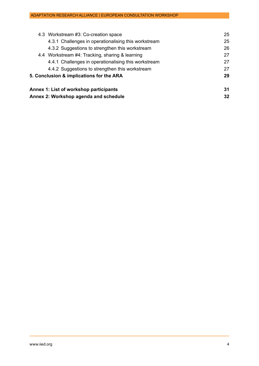| Annex 2: Workshop agenda and schedule                |    |
|------------------------------------------------------|----|
| Annex 1: List of workshop participants               | 31 |
| 5. Conclusion & implications for the ARA             |    |
| 4.4.2 Suggestions to strengthen this workstream      | 27 |
| 4.4.1 Challenges in operationalising this workstream | 27 |
| 4.4 Workstream #4: Tracking, sharing & learning      | 27 |
| 4.3.2 Suggestions to strengthen this workstream      | 26 |
| 4.3.1 Challenges in operationalising this workstream | 25 |
| 4.3 Workstream #3: Co-creation space                 | 25 |
|                                                      |    |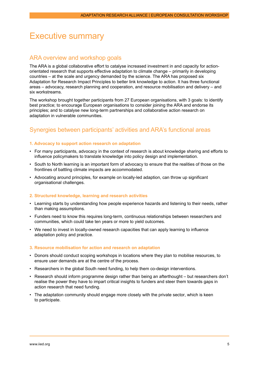## <span id="page-4-0"></span>Executive summary

## ARA overview and workshop goals

The ARA is a global collaborative effort to catalyse increased investment in and capacity for actionorientated research that supports effective adaptation to climate change – primarily in developing countries – at the scale and urgency demanded by the science. The ARA has proposed six Adaptation for Research Impact Principles to better link knowledge to action. It has three functional areas – advocacy, research planning and cooperation, and resource mobilisation and delivery – and six workstreams.

The workshop brought together participants from 27 European organisations, with 3 goals: to identify best practice; to encourage European organisations to consider joining the ARA and endorse its principles; and to catalyse new long-term partnerships and collaborative action research on adaptation in vulnerable communities.

## Synergies between participants' activities and ARA's functional areas

## **1. Advocacy to support action research on adaptation**

- For many participants, advocacy in the context of research is about knowledge sharing and efforts to influence policymakers to translate knowledge into policy design and implementation.
- South to North learning is an important form of advocacy to ensure that the realities of those on the frontlines of battling climate impacts are accommodated.
- Advocating around principles, for example on locally-led adaption, can throw up significant organisational challenges.

## **2. Structured knowledge, learning and research activities**

- Learning starts by understanding how people experience hazards and listening to their needs, rather than making assumptions.
- Funders need to know this requires long-term, continuous relationships between researchers and communities, which could take ten years or more to yield outcomes.
- We need to invest in locally-owned research capacities that can apply learning to influence adaptation policy and practice.

## **3. Resource mobilisation for action and research on adaptation**

- Donors should conduct scoping workshops in locations where they plan to mobilise resources, to ensure user demands are at the centre of the process.
- Researchers in the global South need funding, to help them co-design interventions.
- Research should inform programme design rather than being an afterthought but researchers don't realise the power they have to impart critical insights to funders and steer them towards gaps in action research that need funding.
- The adaptation community should engage more closely with the private sector, which is keen to participate.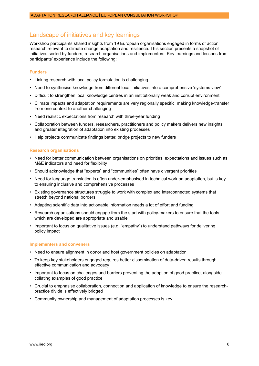## <span id="page-5-0"></span>Landscape of initiatives and key learnings

Workshop participants shared insights from 19 European organisations engaged in forms of action research relevant to climate change adaptation and resilience. This section presents a snapshot of initiatives sorted by funders, research organisations and implementers. Key learnings and lessons from participants' experience include the following:

## **Funders**

- Linking research with local policy formulation is challenging
- Need to synthesise knowledge from different local initiatives into a comprehensive 'systems view'
- Difficult to strengthen local knowledge centres in an institutionally weak and corrupt environment
- Climate impacts and adaptation requirements are very regionally specific, making knowledge-transfer from one context to another challenging
- Need realistic expectations from research with three-year funding
- Collaboration between funders, researchers, practitioners and policy makers delivers new insights and greater integration of adaptation into existing processes
- Help projects communicate findings better, bridge projects to new funders

## **Research organisations**

- Need for better communication between organisations on priorities, expectations and issues such as M&E indicators and need for flexibility
- Should acknowledge that "experts" and "communities" often have divergent priorities
- Need for language translation is often under-emphasised in technical work on adaptation, but is key to ensuring inclusive and comprehensive processes
- Existing governance structures struggle to work with complex and interconnected systems that stretch beyond national borders
- Adapting scientific data into actionable information needs a lot of effort and funding
- Research organisations should engage from the start with policy-makers to ensure that the tools which are developed are appropriate and usable
- Important to focus on qualitative issues (e.g. "empathy") to understand pathways for delivering policy impact

#### **Implementers and conveners**

- Need to ensure alignment in donor and host government policies on adaptation
- To keep key stakeholders engaged requires better dissemination of data-driven results through effective communication and advocacy
- Important to focus on challenges and barriers preventing the adoption of good practice, alongside collating examples of good practice
- Crucial to emphasise collaboration, connection and application of knowledge to ensure the researchpractice divide is effectively bridged
- Community ownership and management of adaptation processes is key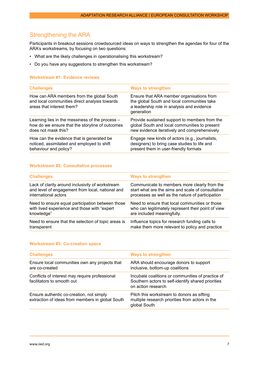## <span id="page-6-0"></span>Strengthening the ARA

Participants in breakout sessions crowdsourced ideas on ways to strengthen the agendas for four of the ARA's workstreams, by focusing on two questions:

- What are the likely challenges in operationalising this workstream?
- Do you have any suggestions to strengthen this workstream?

## **Workstream #1: Evidence reviews**

| <b>Challenges</b>                                                                                                       | <b>Ways to strengthen</b>                                                                                                                            |
|-------------------------------------------------------------------------------------------------------------------------|------------------------------------------------------------------------------------------------------------------------------------------------------|
| How can ARA members from the global South<br>and local communities direct analysis towards<br>areas that interest them? | Ensure that ARA member organisations from<br>the global South and local communities take<br>a leadership role in analysis and evidence<br>generation |
| Learning lies in the messiness of the process -                                                                         | Provide sustained support to members from the                                                                                                        |
| how do we ensure that the storyline of outcomes                                                                         | global South and local communities to present                                                                                                        |
| does not mask this?                                                                                                     | new evidence iteratively and comprehensively                                                                                                         |
| How can the evidence that is generated be                                                                               | Engage new kinds of actors (e.g., journalists,                                                                                                       |
| noticed, assimilated and employed to shift                                                                              | designers) to bring case studies to life and                                                                                                         |
| behaviour and policy?                                                                                                   | present them in user-friendly formats                                                                                                                |

## **Workstream #2: Consultative processes**

| <b>Challenges</b>                                   | <b>Ways to strengthen</b>                          |
|-----------------------------------------------------|----------------------------------------------------|
| Lack of clarity around inclusivity of workstream    | Communicate to members more clearly from the       |
| and level of engagement from local, national and    | start what are the aims and scale of consultative  |
| international actors                                | processes as well as the nature of participation   |
| Need to ensure equal participation between those    | Need to ensure that local communities or those     |
| with lived experience and those with "expert        | who can legitimately represent their point of view |
| knowledge"                                          | are included meaningfully.                         |
| Need to ensure that the selection of topic areas is | Influence topics for research funding calls to     |
| transparent                                         | make them more relevant to policy and practice     |

#### **Workstream #3: Co-creation space**

| <b>Challenges</b>                                                                            | <b>Ways to strengthen</b>                                                                                                     |
|----------------------------------------------------------------------------------------------|-------------------------------------------------------------------------------------------------------------------------------|
| Ensure local communities own any projects that<br>are co-created                             | ARA should encourage donors to support<br>inclusive, bottom-up coalitions                                                     |
| Conflicts of interest may require professional<br>facilitators to smooth out                 | Incubate coalitions or communities of practice of<br>Southern actors to self-identify shared priorities<br>on action research |
| Ensure authentic co-creation, not simply<br>extraction of ideas from members in global South | Pitch this workstream to donors as sifting<br>multiple research priorities from actors in the<br>global South                 |
|                                                                                              |                                                                                                                               |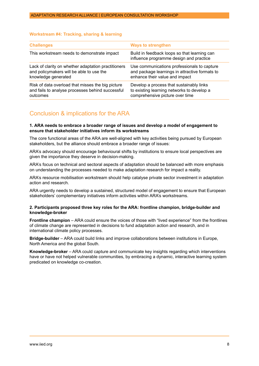#### <span id="page-7-0"></span>**Workstream #4: Tracking, sharing & learning**

| <b>Challenges</b>                                   | <b>Ways to strengthen</b>                                                               |
|-----------------------------------------------------|-----------------------------------------------------------------------------------------|
| This workstream needs to demonstrate impact         | Build in feedback loops so that learning can<br>influence programme design and practice |
| Lack of clarity on whether adaptation practitioners | Use communications professionals to capture                                             |
| and policymakers will be able to use the            | and package learnings in attractive formats to                                          |
| knowledge generated                                 | enhance their value and impact                                                          |
| Risk of data overload that misses the big picture   | Develop a process that sustainably links                                                |
| and fails to analyse processes behind successful    | to existing learning networks to develop a                                              |
| outcomes                                            | comprehensive picture over time                                                         |

## Conclusion & implications for the ARA

## **1. ARA needs to embrace a broader range of issues and develop a model of engagement to ensure that stakeholder initiatives inform its workstreams**

The core functional areas of the ARA are well-aligned with key activities being pursued by European stakeholders, but the alliance should embrace a broader range of issues:

ARA's advocacy should encourage behavioural shifts by institutions to ensure local perspectives are given the importance they deserve in decision-making.

ARA's focus on technical and sectoral aspects of adaptation should be balanced with more emphasis on understanding the processes needed to make adaptation research for impact a reality.

ARA's resource mobilisation workstream should help catalyse private sector investment in adaptation action and research.

ARA urgently needs to develop a sustained, structured model of engagement to ensure that European stakeholders' complementary initiatives inform activities within ARA's workstreams.

#### **2. Participants proposed three key roles for the ARA: frontline champion, bridge-builder and knowledge-broker**

**Frontline champion** – ARA could ensure the voices of those with "lived experience" from the frontlines of climate change are represented in decisions to fund adaptation action and research, and in international climate policy processes.

**Bridge-builder** – ARA could build links and improve collaborations between institutions in Europe, North America and the global South.

**Knowledge-broker** – ARA could capture and communicate key insights regarding which interventions have or have not helped vulnerable communities, by embracing a dynamic, interactive learning system predicated on knowledge co-creation.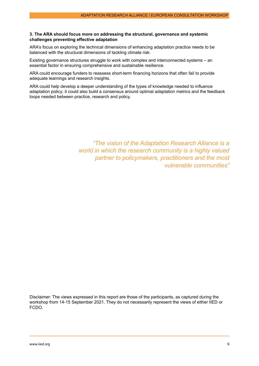## **3. The ARA should focus more on addressing the structural, governance and systemic challenges preventing effective adaptation**

ARA's focus on exploring the technical dimensions of enhancing adaptation practice needs to be balanced with the structural dimensions of tackling climate risk.

Existing governance structures struggle to work with complex and interconnected systems – an essential factor in ensuring comprehensive and sustainable resilience.

ARA could encourage funders to reassess short-term financing horizons that often fail to provide adequate learnings and research insights.

ARA could help develop a deeper understanding of the types of knowledge needed to influence adaptation policy; it could also build a consensus around optimal adaptation metrics and the feedback loops needed between practice, research and policy.

> *"The vision of the Adaptation Research Alliance is a world in which the research community is a highly valued partner to policymakers, practitioners and the most vulnerable communities"*

Disclaimer: The views expressed in this report are those of the participants, as captured during the workshop from 14-15 September 2021. They do not necessarily represent the views of either IIED or FCDO.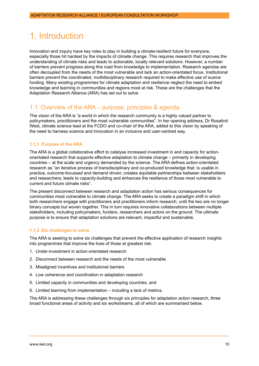# <span id="page-9-0"></span>1. Introduction

Innovation and inquiry have key roles to play in building a climate-resilient future for everyone, especially those hit hardest by the impacts of climate change. This requires research that improves the understanding of climate risks and leads to actionable, locally relevant solutions. However, a number of barriers prevent progress along this road from knowledge to implementation. Research agendas are often decoupled from the needs of the most vulnerable and lack an action-orientated focus. Institutional barriers prevent the coordinated, multidisciplinary research required to make effective use of scarce funding. Many existing programmes for climate adaptation and resilience neglect the need to embed knowledge and learning in communities and regions most at risk. These are the challenges that the Adaptation Research Alliance (ARA) has set out to solve.

## 1.1 Overview of the ARA – purpose, principles & agenda

The vision of the ARA is "a world in which the research community is a highly valued partner to policymakers, practitioners and the most vulnerable communities". In her opening address, Dr Rosalind West, climate science lead at the FCDO and co-chair of the ARA, added to this vision by speaking of the need to harness science and innovation in an inclusive and user-centred way.

## **1.1.1 Purpose of the ARA**

The ARA is a global collaborative effort to catalyse increased investment in and capacity for actionorientated research that supports effective adaptation to climate change – primarily in developing countries – at the scale and urgency demanded by the science. The ARA defines action-orientated research as "an iterative process of transdisciplinary and co-produced knowledge that: is usable in practice, outcome-focussed and demand driven; creates equitable partnerships between stakeholders and researchers; leads to capacity-building and enhances the resilience of those most vulnerable to current and future climate risks".

The present disconnect between research and adaptation action has serious consequences for communities most vulnerable to climate change. The ARA seeks to create a paradigm shift in which both researchers engage with practitioners and practitioners inform research, until the two are no longer binary concepts but woven together. This in turn requires innovative collaborations between multiple stakeholders, including policymakers, funders, researchers and actors on the ground. The ultimate purpose is to ensure that adaptation solutions are relevant, impactful and sustainable.

## **1.1.2 Six challenges to solve**

The ARA is seeking to solve six challenges that prevent the effective application of research insights into programmes that improve the lives of those at greatest risk:

- 1. Under-investment in action-orientated research
- 2. Disconnect between research and the needs of the most vulnerable
- 3. Misaligned incentives and institutional barriers
- 4. Low coherence and coordination in adaptation research
- 5. Limited capacity in communities and developing countries, and
- 6. Limited learning from implementation including a lack of metrics.

The ARA is addressing these challenges through six principles for adaptation action research, three broad functional areas of activity and six workstreams, all of which are summarised below.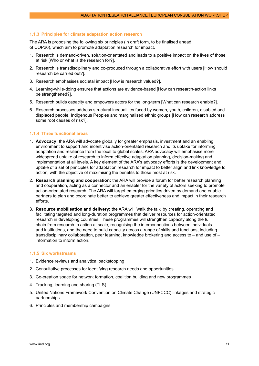## <span id="page-10-0"></span>**1.1.3 Principles for climate adaptation action research**

The ARA is proposing the following six principles (in draft form, to be finalised ahead of COP26), which aim to promote adaptation research for impact.

- 1. Research is demand-driven, solution-orientated and leads to a positive impact on the lives of those at risk [Who or what is the research for?].
- 2. Research is transdisciplinary and co-produced through a collaborative effort with users [How should research be carried out?].
- 3. Research emphasises societal impact [How is research valued?].
- 4. Learning-while-doing ensures that actions are evidence-based [How can research-action links be strengthened?].
- 5. Research builds capacity and empowers actors for the long-term [What can research enable?].
- 6. Research processes address structural inequalities faced by women, youth, children, disabled and displaced people, Indigenous Peoples and marginalised ethnic groups [How can research address some root causes of risk?].

#### **1.1.4 Three functional areas**

- 1. **Advocacy:** the ARA will advocate globally for greater emphasis, investment and an enabling environment to support and incentivise action-orientated research and its uptake for informing adaptation and resilience from the local to global scales. ARA advocacy will emphasise more widespread uptake of research to inform effective adaptation planning, decision-making and implementation at all levels. A key element of the ARA's advocacy efforts is the development and uptake of a set of principles for adaptation research for impact to better align and link knowledge to action, with the objective of maximising the benefits to those most at risk.
- 2. **Research planning and cooperation:** the ARA will provide a forum for better research planning and cooperation, acting as a connector and an enabler for the variety of actors seeking to promote action-orientated research. The ARA will target emerging priorities driven by demand and enable partners to plan and coordinate better to achieve greater effectiveness and impact in their research efforts.
- 3. **Resource mobilisation and delivery:** the ARA will 'walk the talk' by creating, operating and facilitating targeted and long-duration programmes that deliver resources for action-orientated research in developing countries. These programmes will strengthen capacity along the full chain from research to action at scale, recognising the interconnections between individuals and institutions, and the need to build capacity across a range of skills and functions, including transdisciplinary collaboration, peer learning, knowledge brokering and access to – and use of – information to inform action.

#### **1.1.5 Six workstreams**

- 1. Evidence reviews and analytical backstopping
- 2. Consultative processes for identifying research needs and opportunities
- 3. Co-creation space for network formation, coalition building and new programmes
- 4. Tracking, learning and sharing (TLS)
- 5. United Nations Framework Convention on Climate Change (UNFCCC) linkages and strategic partnerships
- 6. Principles and membership campaigns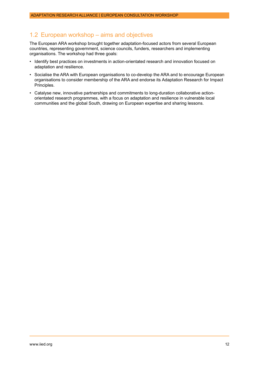## <span id="page-11-0"></span>1.2 European workshop – aims and objectives

The European ARA workshop brought together adaptation-focused actors from several European countries, representing government, science councils, funders, researchers and implementing organisations. The workshop had three goals:

- Identify best practices on investments in action-orientated research and innovation focused on adaptation and resilience.
- Socialise the ARA with European organisations to co-develop the ARA and to encourage European organisations to consider membership of the ARA and endorse its Adaptation Research for Impact Principles.
- Catalyse new, innovative partnerships and commitments to long-duration collaborative actionorientated research programmes, with a focus on adaptation and resilience in vulnerable local communities and the global South, drawing on European expertise and sharing lessons.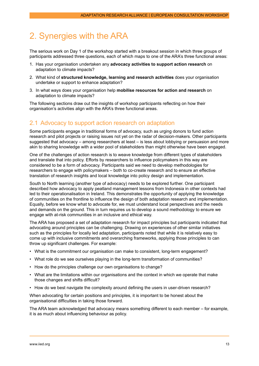# <span id="page-12-0"></span>2. Synergies with the ARA

The serious work on Day 1 of the workshop started with a breakout session in which three groups of participants addressed three questions, each of which maps to one of the ARA's three functional areas:

- 1. Has your organisation undertaken any **advocacy activities to support action research** on adaptation to climate impacts?
- 2. What kind of **structured knowledge, learning and research activities** does your organisation undertake or support to enhance adaptation?
- 3. In what ways does your organisation help **mobilise resources for action and research** on adaptation to climate impacts?

The following sections draw out the insights of workshop participants reflecting on how their organisation's activities align with the ARA's three functional areas.

## 2.1 Advocacy to support action research on adaptation

Some participants engage in traditional forms of advocacy, such as urging donors to fund action research and pilot projects or raising issues not yet on the radar of decision-makers. Other participants suggested that advocacy – among researchers at least – is less about lobbying or persuasion and more akin to sharing knowledge with a wider pool of stakeholders than might otherwise have been engaged.

One of the challenges of action research is to weave knowledge from different types of stakeholders and translate that into policy. Efforts by researchers to influence policymakers in this way are considered to be a form of advocacy. Participants said we need to develop methodologies for researchers to engage with policymakers – both to co-create research and to ensure an effective translation of research insights and local knowledge into policy design and implementation.

South to North learning (another type of advocacy) needs to be explored further. One participant described how advocacy to apply peatland management lessons from Indonesia in other contexts had led to their operationalisation in Ireland. This demonstrates the opportunity of applying the knowledge of communities on the frontline to influence the design of both adaptation research and implementation. Equally, before we know what to advocate for, we must understand local perspectives and the needs and demands on the ground. This in turn requires us to develop a sound methodology to ensure we engage with at-risk communities in an inclusive and ethical way.

The ARA has proposed a set of adaptation research for impact principles but participants indicated that advocating around principles can be challenging. Drawing on experiences of other similar initiatives such as the principles for locally led adaptation, participants noted that while it is relatively easy to come up with inclusive commitments and overarching frameworks, applying those principles to can throw up significant challenges. For example:

- What is the commitment our organisation can make to consistent, long-term engagement?
- What role do we see ourselves playing in the long-term transformation of communities?
- How do the principles challenge our own organisations to change?
- What are the limitations within our organisations and the context in which we operate that make those changes and shifts difficult?
- How do we best navigate the complexity around defining the users in user-driven research?

When advocating for certain positions and principles, it is important to be honest about the organisational difficulties in taking those forward.

The ARA team acknowledged that advocacy means something different to each member – for example, it is as much about influencing behaviour as policy.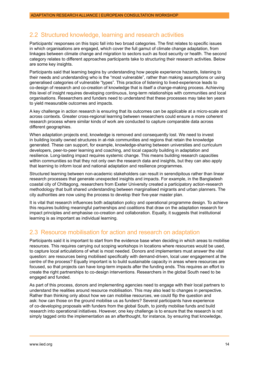## <span id="page-13-0"></span>2.2 Structured knowledge, learning and research activities

Participants' responses on this topic fall into two broad categories. The first relates to specific issues in which organisations are engaged, which cover the full gamut of climate change adaptation, from linkages between climate change and migration to sectors such as food security or health. The second category relates to different approaches participants take to structuring their research activities. Below are some key insights.

Participants said that learning begins by understanding how people experience hazards, listening to their needs and understanding who is the "most vulnerable", rather than making assumptions or using generalised categories of vulnerable "types". This practice of listening to lived-experience leads to co-design of research and co-creation of knowledge that is itself a change-making process. Achieving this level of insight requires developing continuous, long-term relationships with communities and local organisations. Researchers and funders need to understand that these processes may take ten years to yield measurable outcomes and impacts.

A key challenge in action research is ensuring that its outcomes can be applicable at a micro-scale and across contexts. Greater cross-regional learning between researchers could ensure a more coherent research process where similar kinds of work are conducted to capture comparable data across different geographies.

When adaptation projects end, knowledge is removed and consequently lost. We need to invest in building locally owned structures in at-risk communities and regions that retain the knowledge generated. These can support, for example, knowledge-sharing between universities and curriculum developers, peer-to-peer learning and coaching, and local capacity building in adaptation and resilience. Long-lasting impact requires systemic change. This means building research capacities within communities so that they not only own the research data and insights, but they can also apply that learning to inform local and national adaptation and resilience programmes.

Structured learning between non-academic stakeholders can result in serendipitous rather than linear research processes that generate unexpected insights and impacts. For example, in the Bangladesh coastal city of Chittagong, researchers from Exeter University created a participatory action-research methodology that built shared understanding between marginalised migrants and urban planners. The city authorities are now using the process to develop their five-year master plan.

It is vital that research influences both adaptation policy and operational programme design. To achieve this requires building meaningful partnerships and coalitions that draw on the adaptation research for impact principles and emphasise co-creation and collaboration. Equally, it suggests that institutional learning is as important as individual learning.

## 2.3 Resource mobilisation for action and research on adaptation

Participants said it is important to start from the evidence base when deciding in which areas to mobilise resources. This requires carrying out scoping workshops in locations where resources would be used, to capture local articulations of what is most needed. Donors and implementers must answer the vital question: are resources being mobilised specifically with demand-driven, local user engagement at the centre of the process? Equally important is to build sustainable capacity in areas where resources are focused, so that projects can have long-term impacts after the funding ends. This requires an effort to create the right partnerships to co-design interventions. Researchers in the global South need to be engaged and funded.

As part of this process, donors and implementing agencies need to engage with their local partners to understand the realities around resource mobilisation. This may also lead to changes in perspective. Rather than thinking only about how we can mobilise resources, we could flip the question and ask: how can those on the ground mobilise us as funders? Several participants have experience of co-developing proposals with funders from the global South, to jointly mobilise funds and build research into operational initiatives. However, one key challenge is to ensure that the research is not simply tagged onto the implementation as an afterthought, for instance, by ensuring that knowledge,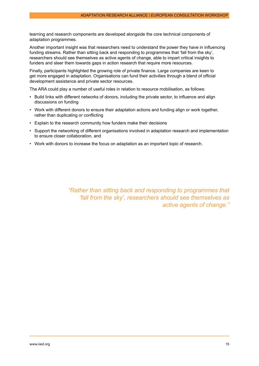learning and research components are developed alongside the core technical components of adaptation programmes.

Another important insight was that researchers need to understand the power they have in influencing funding streams. Rather than sitting back and responding to programmes that 'fall from the sky', researchers should see themselves as active agents of change, able to impart critical insights to funders and steer them towards gaps in action research that require more resources.

Finally, participants highlighted the growing role of private finance. Large companies are keen to get more engaged in adaptation. Organisations can fund their activities through a blend of official development assistance and private sector resources.

The ARA could play a number of useful roles in relation to resource mobilisation, as follows:

- Build links with different networks of donors, including the private sector, to influence and align discussions on funding
- Work with different donors to ensure their adaptation actions and funding align or work together, rather than duplicating or conflicting
- Explain to the research community how funders make their decisions
- Support the networking of different organisations involved in adaptation research and implementation to ensure closer collaboration, and
- Work with donors to increase the focus on adaptation as an important topic of research.

*"Rather than sitting back and responding to programmes that 'fall from the sky', researchers should see themselves as active agents of change."*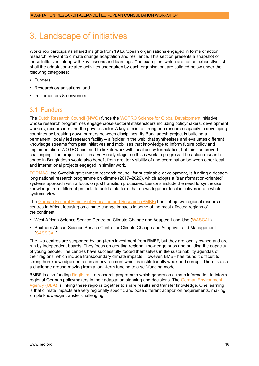# <span id="page-15-0"></span>3. Landscape of initiatives

Workshop participants shared insights from 19 European organisations engaged in forms of action research relevant to climate change adaptation and resilience. This section presents a snapshot of these initiatives, along with key lessons and learnings. The examples, which are not an exhaustive list of all the adaptation-related activities undertaken by each organisation, are collated below under the following categories:

- Funders
- Research organisations, and
- Implementers & conveners.

## 3.1 Funders

The [Dutch Research Council \(NWO\)](https://www.nwo.nl/en) funds the [WOTRO Science for Global Development](https://www.nwo.nl/en/wotro-science-global-development) initiative, whose research programmes engage cross-sectoral stakeholders including policymakers, development workers, researchers and the private sector. A key aim is to strengthen research capacity in developing countries by breaking down barriers between disciplines. Its Bangladesh project is building a permanent, locally led research facility – a 'spider in the web' that synthesises and evaluates different knowledge streams from past initiatives and mobilises that knowledge to inform future policy and implementation. WOTRO has tried to link its work with local policy formulation, but this has proved challenging. The project is still in a very early stage, so this is work in progress. The action research space in Bangladesh would also benefit from greater visibility of and coordination between other local and international projects engaged in similar work.

[FORMAS,](https://formas.se/en/start-page.html) the Swedish government research council for sustainable development, is funding a decadelong national research programme on climate (2017–2026), which adopts a "transformation-oriented" systems approach with a focus on just transition processes. Lessons include the need to synthesise knowledge from different projects to build a platform that draws together local initiatives into a wholesystems view.

The [German Federal Ministry of Education and Research \(BMBF\)](https://www.bmbf-client.de/en/node/30) has set up two regional research centres in Africa, focusing on climate change impacts in some of the most affected regions of the continent:

- West African Science Service Centre on Climate Change and Adapted Land Use ([WASCAL](https://wascal.org/))
- Southern African Science Service Centre for Climate Change and Adaptive Land Management ([SASSCAL\)](https://www.sasscal.org/)

The two centres are supported by long-term investment from BMBF, but they are locally owned and are run by independent boards. They focus on creating regional knowledge hubs and building the capacity of young people. The centres have successfully rooted themselves in the sustainability agendas of their regions, which include transboundary climate impacts. However, BMBF has found it difficult to strengthen knowledge centres in an environment which is institutionally weak and corrupt. There is also a challenge around moving from a long-term funding to a self-funding model.

BMBF is also funding [RegiKlim](https://www.regiklim.de/DE/Service/Sitemap/sitemap_node.html) – a research programme which generates climate information to inform regional German policymakers in their adaptation planning and decisions. The [German Environment](https://www.umweltbundesamt.de/en)  [Agency \(UBA\)](https://www.umweltbundesamt.de/en) is linking these regions together to share results and transfer knowledge. One learning is that climate impacts are very regionally specific and pose different adaptation requirements, making simple knowledge transfer challenging.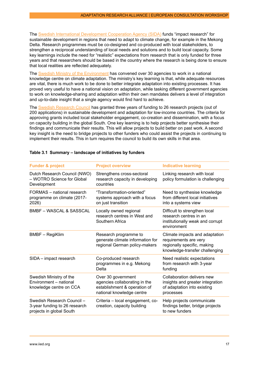The [Swedish International Development Cooperation Agency \(SIDA\)](https://www.sida.se/en/for-partners/research-partners/research-calls-and-grants) funds "impact research" for sustainable development in regions that need to adapt to climate change, for example in the Mekong Delta. Research programmes must be co-designed and co-produced with local stakeholders, to strengthen a reciprocal understanding of local needs and solutions and to build local capacity. Some key learnings include the need for "realistic" expectations from research that is only funded for three years and that researchers should be based in the country where the research is being done to ensure that local realities are reflected adequately.

The [Swedish Ministry of the Environment](https://www.government.se/government-of-sweden/ministry-of-the-environment/) has convened over 30 agencies to work in a national knowledge centre on climate adaptation. The ministry's key learning is that, while adequate resources are vital, there is much work to be done to better integrate adaptation into existing processes. It has proved very useful to have a national vision on adaptation, while tasking different government agencies to work on knowledge-sharing and adaptation within their own mandates delivers a level of integration and up-to-date insight that a single agency would find hard to achieve.

The [Swedish Research Council](https://www.vr.se/english.html) has granted three years of funding to 26 research projects (out of 200 applications) in sustainable development and adaptation for low-income countries. The criteria for approving grants included local stakeholder engagement, co-creation and dissemination, with a focus on capacity building in the global South. One key learning is to help projects better synthesise their findings and communicate their results. This will allow projects to build better on past work. A second key insight is the need to bridge projects to other funders who could assist the projects in continuing to implement their results. This in turn requires the council to build its own skills in that area.

| <b>Funder &amp; project</b>                                                             | <b>Project overview</b>                                                                                          | <b>Indicative learning</b>                                                                                               |
|-----------------------------------------------------------------------------------------|------------------------------------------------------------------------------------------------------------------|--------------------------------------------------------------------------------------------------------------------------|
| Dutch Research Council (NWO)<br>- WOTRO Science for Global<br>Development               | Strengthens cross-sectoral<br>research capacity in developing<br>countries                                       | Linking research with local<br>policy formulation is challenging                                                         |
| FORMAS – national research<br>programme on climate (2017-<br>2026)                      | "Transformation-oriented"<br>systems approach with a focus<br>on just transition                                 | Need to synthesise knowledge<br>from different local initiatives<br>into a systems view                                  |
| <b>BMBF – WASCAL &amp; SASSCAL</b>                                                      | Locally owned regional<br>research centres in West and<br>Southern Africa                                        | Difficult to strengthen local<br>research centres in an<br>institutionally weak and corrupt<br>environment               |
| <b>BMBF</b> - RegiKlim                                                                  | Research programme to<br>generate climate information for<br>regional German policy-makers                       | Climate impacts and adaptation<br>requirements are very<br>regionally specific, making<br>knowledge-transfer challenging |
| SIDA - impact research                                                                  | Co-produced research<br>programmes in e.g. Mekong<br>Delta                                                       | Need realistic expectations<br>from research with 3-year<br>funding                                                      |
| Swedish Ministry of the<br>Environment - national<br>knowledge centre on CCA            | Over 30 government<br>agencies collaborating in the<br>establishment & operation of<br>national knowledge centre | Collaboration delivers new<br>insights and greater integration<br>of adaptation into existing<br>processes               |
| Swedish Research Council -<br>3-year funding to 26 research<br>projects in global South | Criteria - local engagement, co-<br>creation, capacity building                                                  | Help projects communicate<br>findings better, bridge projects<br>to new funders                                          |

## **Table 3.1 Summary – landscape of initiatives by funders**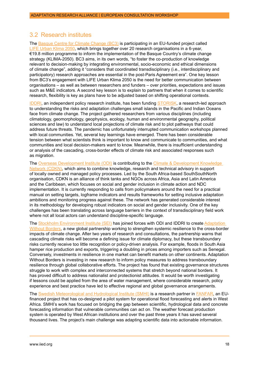## <span id="page-17-0"></span>3.2 Research institutes

The [Basque Centre for Climate Change \(BC3\)](https://www.bc3research.org/) is participating in an EU-funded project called [LIFE Urban Klima 2050,](https://urbanklima2050.eu/en/) which brings together over 20 research organisations in a 6-year, €19.8 million programme to inform the implementation of the Basque Country's climate change strategy (KLIMA-2050). BC3 aims, in its own words, "to foster the co-production of knowledge relevant to decision-making by integrating environmental, socio-economic and ethical dimensions of climate change", adding it "considers that coordinated transdisciplinary (i.e., interdisciplinary and participatory) research approaches are essential in the post-Paris Agreement era". One key lesson from BC3's engagement with LIFE Urban Klima 2050 is the need for better communication between organisations – as well as between researchers and funders – over priorities, expectations and issues such as M&E indicators. A second key lesson is to explain to partners that when it comes to scientific research, flexibility is key as plans have to be adjusted based on shifting operational contexts.

[IDDRI](https://www.iddri.org/en), an independent policy research institute, has been funding [STORISK,](https://www.iddri.org/en/project/storylines-adaptation-small-islands-climate-change) a research-led approach to understanding the risks and adaptation challenges small islands in the Pacific and Indian Oceans face from climate change. The project gathered researchers from various disciplines (including climatology, geomorphology, geophysics, ecology, human and environmental geography, political sciences and law) to understand local projections of climate risk and to plot pathways that could address future threats. The pandemic has unfortunately interrupted communication workshops planned with local communities. Yet, several key learnings have emerged. There has been considerable tension between what scientists think is important to know and communicate to communities, and what communities and local decision-makers want to know. Meanwhile, there is insufficient understanding or analysis of the cascading, cross-border effects of climate risk and associated responses such as migration.

The [Overseas Development Institute \(ODI\)](https://odi.org/en/topics/the-climate-crisis/) is contributing to the [Climate & Development Knowledge](https://cdkn.org/?loclang=en_gb)  [Network \(CDKN](https://cdkn.org/?loclang=en_gb)), which aims to combine knowledge, research and technical advisory in support of locally owned and managed policy processes. Led by the South Africa-based SouthSouthNorth organisation, CDKN is an alliance of think tanks and NGOs across Africa, Asia and Latin America and the Caribbean, which focuses on social and gender inclusion in climate action and NDC implementation. It is currently responding to calls from policymakers around the need for a practical manual on setting targets, logframe indicators and results frameworks for setting inclusive adaptation ambitions and monitoring progress against these. The network has generated considerable interest in its methodology for developing robust indicators on social and gender inclusivity. One of the key challenges has been translating across language barriers in the context of transdisciplinary field work where not all local actors can understand discipline-specific language.

The [Stockholm Environment Institute \(SEI\)](https://www.sei.org/) has joined forces with ODI and IDDRI to create Adaptation [Without Borders,](https://adaptationwithoutborders.org/sites/weadapt.org/files/awb_2pager_web.pdf) a new global partnership working to strengthen systemic resilience to the cross-border impacts of climate change. After two years of research and consultations, the partnership warns that cascading climate risks will become a defining issue for climate diplomacy, but these transboundary risks currently receive too little recognition or policy-driven analysis. For example, floods in South Asia hamper rice production and exports, triggering a doubling in prices among importers such as Senegal. Conversely, investments in resilience in one market can benefit markets on other continents. Adaptation Without Borders is investing in new research to inform policy measures to address transboundary resilience through global collaborative efforts. The project has found that existing governance structures struggle to work with complex and interconnected systems that stretch beyond national borders. It has proved difficult to address nationalist and protectionist attitudes. It would be worth investigating if lessons could be applied from the area of water management, where considerable research, policy experience and best practice have led to effective regional and global governance arrangements.

The [Swedish Meteorological and Hydrological Institute \(SMHI\)](https://www.smhi.se/q/Stockholm/2673730) is a research partner in [FANFAR,](https://fanfar.eu/) an EUfinanced project that has co-designed a pilot system for operational flood forecasting and alerts in West Africa. SMHI's work has focused on bridging the gap between scientific, hydrological data and concrete forecasting information that vulnerable communities can act on. The weather forecast production system is operated by West African institutions and over the past three years it has saved several thousand lives. The project's main challenge was adapting scientific data into actionable information.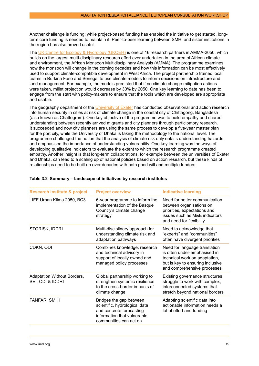Another challenge is funding: while project-based funding has enabled the initiative to get started, longterm core funding is needed to maintain it. Peer-to-peer learning between SMHI and sister institutions in the region has also proved useful.

The [UK Centre for Ecology & Hydrology \(UKCEH\)](https://www.ceh.ac.uk/) is one of 16 research partners in [AMMA-2050](https://www.amma2050.org/Home), which builds on the largest multi-disciplinary research effort ever undertaken in the area of African climate and environment, the African Monsoon Multidisciplinary Analysis (AMMA). The programme examines how the monsoon will change in the coming decades and how this information can be most effectively used to support climate-compatible development in West Africa. The project partnership trained local teams in Burkina Faso and Senegal to use climate models to inform decisions on infrastructure and land management. For example, the models predicted that if no climate change mitigation actions were taken, millet projection would decrease by 30% by 2050. One key learning to date has been to engage from the start with policy-makers to ensure that the tools which are developed are appropriate and usable.

The geography department of the [University of Exeter](http://geography.exeter.ac.uk/index.html) has conducted observational and action research into human security in cities at risk of climate change in the coastal city of Chittagong, Bangladesh (also known as Chattogram). One key objective of the programme was to build empathy and shared understanding between recently arrived migrants and city planners through participatory research. It succeeded and now city planners are using the same process to develop a five-year master plan for the port city, while the University of Dhaka is taking the methodology to the national level. The programme challenged the notion that the analysis of climate risk only entails understanding hazards and emphasised the importance of understanding vulnerability. One key learning was the ways of developing qualitative indicators to evaluate the extent to which the research programme created empathy. Another insight is that long-term collaborations, for example between the universities of Exeter and Dhaka, can lead to a scaling up of national policies based on action research, but these kinds of relationships need to be built up over decades with both good will and multiple funders.

| <b>Research institute &amp; project</b>         | <b>Project overview</b>                                                                                                                       | <b>Indicative learning</b>                                                                                                                                        |
|-------------------------------------------------|-----------------------------------------------------------------------------------------------------------------------------------------------|-------------------------------------------------------------------------------------------------------------------------------------------------------------------|
| LIFE Urban Klima 2050, BC3                      | 6-year programme to inform the<br>implementation of the Basque<br>Country's climate change<br>strategy                                        | Need for better communication<br>between organisations on<br>priorities, expectations and<br>issues such as M&E indicators<br>and need for flexibility            |
| STORISK, IDDRI                                  | Multi-disciplinary approach for<br>understanding climate risk and<br>adaptation pathways                                                      | Need to acknowledge that<br>"experts" and "communities"<br>often have divergent priorities                                                                        |
| CDKN, ODI                                       | Combines knowledge, research<br>and technical advisory in<br>support of locally owned and<br>managed policy processes                         | Need for language translation<br>is often under-emphasised in<br>technical work on adaptation,<br>but is key to ensuring inclusive<br>and comprehensive processes |
| Adaptation Without Borders,<br>SEI, ODI & IDDRI | Global partnership working to<br>strengthen systemic resilience<br>to the cross-border impacts of<br>climate change                           | <b>Existing governance structures</b><br>struggle to work with complex,<br>interconnected systems that<br>stretch beyond national borders                         |
| FANFAR, SMHI                                    | Bridges the gap between<br>scientific, hydrological data<br>and concrete forecasting<br>information that vulnerable<br>communities can act on | Adapting scientific data into<br>actionable information needs a<br>lot of effort and funding                                                                      |

## **Table 3.2 Summary – landscape of initiatives by research institutes**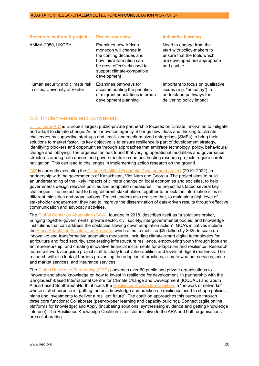<span id="page-19-0"></span>

| <b>Research institute &amp; project</b>                            | <b>Project overview</b>                                                                                                                                                          | <b>Indicative learning</b>                                                                                                           |
|--------------------------------------------------------------------|----------------------------------------------------------------------------------------------------------------------------------------------------------------------------------|--------------------------------------------------------------------------------------------------------------------------------------|
| AMMA-2050, UKCEH                                                   | Examines how African<br>monsoon will change in<br>the coming decades and<br>how this information can<br>be most effectively used to<br>support climate-compatible<br>development | Need to engage from the<br>start with policy-makers to<br>ensure that the tools which<br>are developed are appropriate<br>and usable |
| Human security and climate risk<br>in cities, University of Exeter | Examines pathways for<br>accommodating the priorities<br>of migrant populations in urban<br>development planning                                                                 | Important to focus on qualitative<br>issues (e.g. "empathy") to<br>understand pathways for<br>delivering policy impact               |

## 3.3 Implementers and conveners

[EIT Climate-KIC](https://www.climate-kic.org/) is Europe's largest public-private partnership focused on climate innovation to mitigate and adapt to climate change. As an innovation agency, it brings new ideas and thinking to climate challenges by supporting start-ups and small- and medium-sized enterprises (SMEs) to bring their solutions to market faster. Its key objective is to ensure resilience is part of development strategy, identifying blockers and opportunities through approaches that embrace technology, policy, behavioural change and lobbying. The organisation has found that varying operational modalities and governance structures among both donors and governments in countries hosting research projects require careful navigation. This can lead to challenges in implementing action research on the ground.

[GIZ](https://www.giz.de/en/html/index.html) is currently executing the [Climate Resilient Economic Development project](https://www.giz.de/en/worldwide/79266.html) (2019–2022), in partnership with the governments of Kazakhstan, Viet Nam and Georgia. The project aims to build an understanding of the likely impacts of climate change on local economies and societies, to help governments design relevant policies and adaptation measures. The project has faced several key challenges. The project had to bring different stakeholders together to unlock the information silos of different ministries and organisations. Project leaders also realised that, to maintain a high level of stakeholder engagement, they had to improve the dissemination of data-driven results through effective communication and advocacy activities.

The [Global Center on Adaptation \(GCA\),](https://gca.org/) founded in 2018, describes itself as "a solutions broker, bringing together governments, private sector, civil society, intergovernmental bodies, and knowledge institutions that can address the obstacles slowing down adaptation action". GCA's initiatives include the [Africa Adaptation Acceleration Program](https://gca.org/programs/africa-adaptation-acceleration-program/), which aims to mobilise \$25 billion by 2025 to scale up innovative and transformative adaptation measures, including climate-smart digital technologies for agriculture and food security, accelerating infrastructure resilience, empowering youth through jobs and entrepreneurship, and creating innovative financial instruments for adaptation and resilience. Research teams will work alongside project staff to study local vulnerabilities and levels of digital readiness. The research will also look at barriers preventing the adoption of practices, climate weather services, price and market services, and insurance services.

The [Global Resilience Partnership \(GRP\)](https://www.globalresiliencepartnership.org/) convenes over 60 public and private organisations to innovate and share knowledge on how to invest in resilience for development. In partnership with the Bangladesh-based International Centre for Climate Change and Development (ICCCAD) and South Africa-based SouthSouthNorth, it hosts the [Resilience Knowledge Coalition](https://www.globalresiliencepartnership.org/what-we-do/shared-learning/resilience-knowledge-coalition/), a "network of networks" whose stated purpose is "getting the best knowledge and practice on resilience used to shape policies, plans and investments to deliver a resilient future". The coalition approaches this purpose through three core functions: Collaborate (peer-to-peer learning and capacity building), Connect (agile online platforms for knowledge) and Apply (incubating solutions, synthesising evidence and getting knowledge into use). The Resilience Knowledge Coalition is a sister initiative to the ARA and both organisations are collaborating.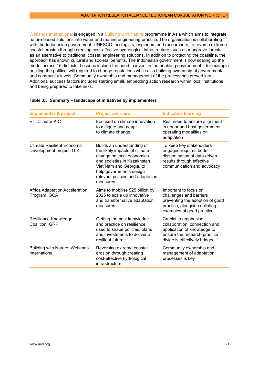[Wetlands International](https://www.wetlands.org/) is engaged in a [Building with Nature](https://www.wetlands.org/publications/technical-guidelines-building-with-nature-approach/) programme in Asia which aims to integrate nature-based solutions into water and marine engineering practice. The organisation is collaborating with the Indonesian government, UNESCO, ecologists, engineers and researchers, to reverse extreme coastal erosion through creating cost-effective hydrological infrastructure, such as mangrove forests, as an alternative to traditional coastal engineering solutions. In addition to protecting the coastline, the approach has shown cultural and societal benefits. The Indonesian government is now scaling up the model across 15 districts. Lessons include the need to invest in the enabling environment – for example building the political will required to change regulations while also building ownership at governmental and community levels. Community ownership and management of the process has proved key. Additional success factors included starting small, embedding action research within local institutions and being prepared to take risks.

| <b>Implementer &amp; project</b>                       | <b>Project overview</b>                                                                                                                                                                                                         | <b>Indicative learning</b>                                                                                                                            |
|--------------------------------------------------------|---------------------------------------------------------------------------------------------------------------------------------------------------------------------------------------------------------------------------------|-------------------------------------------------------------------------------------------------------------------------------------------------------|
| EIT Climate-KIC                                        | Focused on climate innovation<br>to mitigate and adapt<br>to climate change                                                                                                                                                     | Real need to ensure alignment<br>in donor and host government<br>operating modalities on<br>adaptation                                                |
| Climate Resilient Economic<br>Development project, GIZ | Builds an understanding of<br>the likely impacts of climate<br>change on local economies<br>and societies in Kazakhstan,<br>Viet Nam and Georgia, to<br>help governments design<br>relevant policies and adaptation<br>measures | To keep key stakeholders<br>engaged requires better<br>dissemination of data-driven<br>results through effective<br>communication and advocacy        |
| Africa Adaptation Acceleration<br>Program, GCA         | Aims to mobilise \$25 billion by<br>2025 to scale up innovative<br>and transformative adaptation<br>measures                                                                                                                    | Important to focus on<br>challenges and barriers<br>preventing the adoption of good<br>practice, alongside collating<br>examples of good practice     |
| Resilience Knowledge<br>Coalition, GRP                 | Getting the best knowledge<br>and practice on resilience<br>used to shape policies, plans<br>and investments to deliver a<br>resilient future                                                                                   | Crucial to emphasise<br>collaboration, connection and<br>application of knowledge to<br>ensure the research-practice<br>divide is effectively bridged |
| <b>Building with Nature, Wetlands</b><br>International | Reversing extreme coastal<br>erosion through creating<br>cost-effective hydrological<br>infrastructure                                                                                                                          | Community ownership and<br>management of adaptation<br>processes is key                                                                               |

## **Table 3.3 Summary – landscape of initiatives by implementers**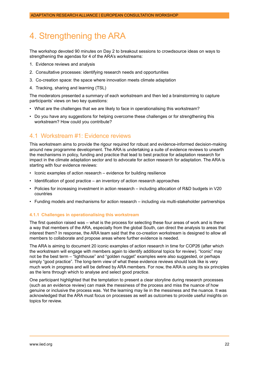# <span id="page-21-0"></span>4. Strengthening the ARA

The workshop devoted 90 minutes on Day 2 to breakout sessions to crowdsource ideas on ways to strengthening the agendas for 4 of the ARA's workstreams:

- 1. Evidence reviews and analysis
- 2. Consultative processes: identifying research needs and opportunities
- 3. Co-creation space: the space where innovation meets climate adaptation
- 4. Tracking, sharing and learning (TSL)

The moderators presented a summary of each workstream and then led a brainstorming to capture participants' views on two key questions:

- What are the challenges that we are likely to face in operationalising this workstream?
- Do you have any suggestions for helping overcome these challenges or for strengthening this workstream? How could you contribute?

## 4.1 Workstream #1: Evidence reviews

This workstream aims to provide the rigour required for robust and evidence-informed decision-making around new programme development. The ARA is undertaking a suite of evidence reviews to unearth the mechanisms in policy, funding and practice that lead to best practice for adaptation research for impact in the climate adaptation sector and to advocate for action research for adaptation. The ARA is starting with four evidence reviews:

- Iconic examples of action research evidence for building resilience
- Identification of good practice an inventory of action research approaches
- Policies for increasing investment in action research including allocation of R&D budgets in V20 countries
- Funding models and mechanisms for action research including via multi-stakeholder partnerships

## **4.1.1 Challenges in operationalising this workstream**

The first question raised was – what is the process for selecting these four areas of work and is there a way that members of the ARA, especially from the global South, can direct the analysis to areas that interest them? In response, the ARA team said that the co-creation workstream is designed to allow all members to collaborate and propose areas where further evidence is needed.

The ARA is aiming to document 20 iconic examples of action research in time for COP26 (after which the workstream will engage with members again to identify additional topics for review). "Iconic" may not be the best term – "lighthouse" and "golden nugget" examples were also suggested, or perhaps simply "good practice". The long-term view of what these evidence reviews should look like is very much work in progress and will be defined by ARA members. For now, the ARA is using its six principles as the lens through which to analyse and select good practice.

One participant highlighted that the temptation to present a clear storyline during research processes (such as an evidence review) can mask the messiness of the process and miss the nuance of how genuine or inclusive the process was. Yet the learning may lie in the messiness and the nuance. It was acknowledged that the ARA must focus on processes as well as outcomes to provide useful insights on topics for review.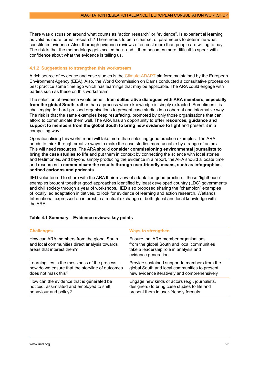<span id="page-22-0"></span>There was discussion around what counts as "action research" or "evidence". Is experiential learning as valid as more formal research? There needs to be a clear set of parameters to determine what constitutes evidence. Also, thorough evidence reviews often cost more than people are willing to pay. The risk is that the methodology gets scaled back and it then becomes more difficult to speak with confidence about what the evidence is telling us.

#### **4.1.2 Suggestions to strengthen this workstream**

A rich source of evidence and case studies is the [Climate-ADAPT](https://climate-adapt.eea.europa.eu/about) platform maintained by the European Environment Agency (EEA). Also, the World Commission on Dams conducted a consultative process on best practice some time ago which has learnings that may be applicable. The ARA could engage with parties such as these on this workstream.

The selection of evidence would benefit from **deliberative dialogues with ARA members, especially from the global South**, rather than a process where knowledge is simply extracted. Sometimes it is challenging for hard-pressed organisations to present case studies in a coherent and informative way. The risk is that the same examples keep resurfacing, promoted by only those organisations that can afford to communicate them well. The ARA has an opportunity to **offer resources, guidance and support to members from the global South to bring new evidence to light** and present it in a compelling way.

Operationalising this workstream will take more than selecting good practice examples. The ARA needs to think through creative ways to make the case studies more useable by a range of actors. This will need resources. The ARA should **consider commissioning environmental journalists to bring the case studies to life** and put them in context by connecting the science with local stories and testimonies. And beyond simply producing the evidence in a report, the ARA should allocate time and resources to **communicate the results through user-friendly means, such as infographics, scribed cartoons and podcasts**.

IIED volunteered to share with the ARA their review of adaptation good practice – these "lighthouse" examples brought together good approaches identified by least developed country (LDC) governments and civil society through a year of workshops. IIED also proposed sharing the "champion" examples of locally led adaptation initiatives, to look for evidence of learning and action research. Wetlands International expressed an interest in a mutual exchange of both global and local knowledge with the ARA.

| <b>Challenges</b>                                                                                                       | <b>Ways to strengthen</b>                                                                                                                            |
|-------------------------------------------------------------------------------------------------------------------------|------------------------------------------------------------------------------------------------------------------------------------------------------|
| How can ARA members from the global South<br>and local communities direct analysis towards<br>areas that interest them? | Ensure that ARA member organisations<br>from the global South and local communities<br>take a leadership role in analysis and<br>evidence generation |
| Learning lies in the messiness of the process -                                                                         | Provide sustained support to members from the                                                                                                        |
| how do we ensure that the storyline of outcomes                                                                         | global South and local communities to present                                                                                                        |
| does not mask this?                                                                                                     | new evidence iteratively and comprehensively                                                                                                         |
| How can the evidence that is generated be.                                                                              | Engage new kinds of actors (e.g., journalists,                                                                                                       |
| noticed, assimilated and employed to shift                                                                              | designers) to bring case studies to life and                                                                                                         |
| behaviour and policy?                                                                                                   | present them in user-friendly formats                                                                                                                |

#### **Table 4.1 Summary – Evidence reviews: key points**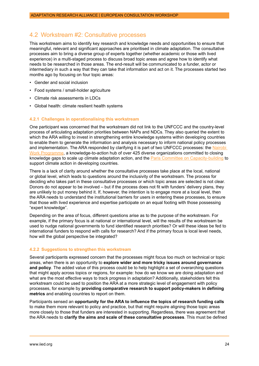## <span id="page-23-0"></span>4.2 Workstream #2: Consultative processes

This workstream aims to identify key research and knowledge needs and opportunities to ensure that meaningful, relevant and significant approaches are prioritised in climate adaptation. The consultative processes aim to bring a diverse group of experts together (whether academic or those with lived experience) in a multi-staged process to discuss broad topic areas and agree how to identify what needs to be researched in those areas. The end-result will be communicated to a funder, actor or intermediary in such a way that they can take that information and act on it. The processes started two months ago by focusing on four topic areas:

- Gender and social inclusion
- Food systems / small-holder agriculture
- Climate risk assessments in LDCs
- Global health: climate resilient health systems

#### **4.2.1 Challenges in operationalising this workstream**

One participant was concerned that the workstream did not link to the UNFCCC and the country-level process of articulating adaptation priorities between NAPs and NDCs. They also queried the extent to which the ARA willing to invest in strengthening entire knowledge systems within developing countries to enable them to generate the information and analysis necessary to inform national policy processes and implementation. The ARA responded by clarifying it is part of two UNFCCC processes: the [Nairobi](https://unfccc.int/topics/adaptation-and-resilience/workstreams/the-nairobi-work-programme-the-unfccc-knowledge-to-action-hub-for-climate-adaptation-and-resilience)  [Work Programme](https://unfccc.int/topics/adaptation-and-resilience/workstreams/the-nairobi-work-programme-the-unfccc-knowledge-to-action-hub-for-climate-adaptation-and-resilience), a knowledge-to-action hub of over 425 diverse organizations committed to closing knowledge gaps to scale up climate adaptation action, and the [Paris Committee on Capacity-building](https://unfccc.int/process-and-meetings/bodies/constituted-bodies/paris-committee-on-capacity-building) to support climate action in developing countries.

There is a lack of clarity around whether the consultative processes take place at the local, national or global level, which leads to questions around the inclusivity of the workstream. The process for deciding who takes part in these consultative processes or which topic areas are selected is not clear. Donors do not appear to be involved – but if the process does not fit with funders' delivery plans, they are unlikely to put money behind it. If, however, the intention is to engage more at a local level, then the ARA needs to understand the institutional barriers for users in entering these processes, to ensure that those with lived experience and expertise participate on an equal footing with those possessing "expert knowledge".

Depending on the area of focus, different questions arise as to the purpose of the workstream. For example, if the primary focus is at national or international level, will the results of the workstream be used to nudge national governments to fund identified research priorities? Or will these ideas be fed to international funders to respond with calls for research? And if the primary focus is local level needs, how will the global perspective be integrated?

#### **4.2.2 Suggestions to strengthen this workstream**

Several participants expressed concern that the processes might focus too much on technical or topic areas, when there is an opportunity to **explore wider and more tricky issues around governance and policy**. The added value of this process could be to help highlight a set of overarching questions that might apply across topics or regions, for example: how do we know we are doing adaptation and what are the most effective ways to track progress in adaptation? Additionally, stakeholders felt this workstream could be used to position the ARA at a more strategic level of engagement with policy processes, for example by **providing comparative research to support policy-makers in defining metrics** and enabling countries to report on them.

Participants sensed an **opportunity for the ARA to influence the topics of research funding calls** to make them more relevant to policy and practice, but that might require aligning those topic areas more closely to those that funders are interested in supporting. Regardless, there was agreement that the ARA needs to **clarify the aims and scale of these consultative processes**. This must be defined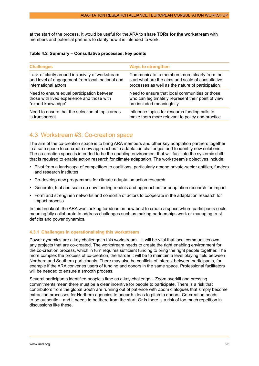<span id="page-24-0"></span>at the start of the process. It would be useful for the ARA to **share TORs for the workstream** with members and potential partners to clarify how it is intended to work.

#### **Table 4.2 Summary – Consultative processes: key points**

| <b>Challenges</b>                                | <b>Ways to strengthen</b>                          |
|--------------------------------------------------|----------------------------------------------------|
| Lack of clarity around inclusivity of workstream | Communicate to members more clearly from the       |
| and level of engagement from local, national and | start what are the aims and scale of consultative  |
| international actors                             | processes as well as the nature of participation   |
| Need to ensure equal participation between       | Need to ensure that local communities or those     |
| those with lived experience and those with       | who can legitimately represent their point of view |
| "expert knowledge"                               | are included meaningfully.                         |
| Need to ensure that the selection of topic areas | Influence topics for research funding calls to     |
| is transparent                                   | make them more relevant to policy and practice     |

## 4.3 Workstream #3: Co-creation space

The aim of the co-creation space is to bring ARA members and other key adaptation partners together in a safe space to co-create new approaches to adaptation challenges and to identify new solutions. The co-creation space is intended to be the enabling environment that will facilitate the systemic shift that is required to enable action research for climate adaptation. The workstream's objectives include:

- Pivot from a landscape of competitors to coalitions, particularly among private-sector entities, funders and research institutes
- Co-develop new programmes for climate adaptation action research
- Generate, trial and scale up new funding models and approaches for adaptation research for impact
- Form and strengthen networks and consortia of actors to cooperate in the adaptation research for impact process

In this breakout, the ARA was looking for ideas on how best to create a space where participants could meaningfully collaborate to address challenges such as making partnerships work or managing trust deficits and power dynamics.

## **4.3.1 Challenges in operationalising this workstream**

Power dynamics are a key challenge in this workstream – it will be vital that local communities own any projects that are co-created. The workstream needs to create the right enabling environment for the co-creation process, which in turn requires sufficient funding to bring the right people together. The more complex the process of co-creation, the harder it will be to maintain a level playing field between Northern and Southern participants. There may also be conflicts of interest between participants, for example if the ARA convenes users of funding and donors in the same space. Professional facilitators will be needed to ensure a smooth process.

Several participants identified people's time as a key challenge – Zoom overkill and pressing commitments mean there must be a clear incentive for people to participate. There is a risk that contributors from the global South are running out of patience with Zoom dialogues that simply become extraction processes for Northern agencies to unearth ideas to pitch to donors. Co-creation needs to be authentic – and it needs to be there from the start. Or is there is a risk of too much repetition in discussions like these.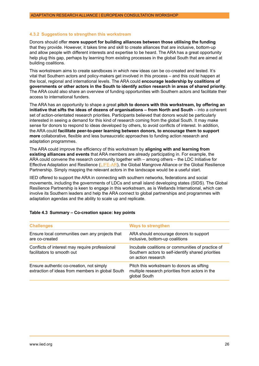#### <span id="page-25-0"></span>**4.3.2 Suggestions to strengthen this workstream**

Donors should offer **more support for building alliances between those utilising the funding** that they provide. However, it takes time and skill to create alliances that are inclusive, bottom-up and allow people with different interests and expertise to be heard. The ARA has a great opportunity help plug this gap, perhaps by learning from existing processes in the global South that are aimed at building coalitions.

This workstream aims to create sandboxes in which new ideas can be co-created and tested. It's vital that Southern actors and policy-makers get involved in this process – and this could happen at the local, regional and international levels. The ARA could **encourage leadership by coalitions of governments or other actors in the South to identify action research in areas of shared priority**. The ARA could also share an overview of funding opportunities with Southern actors and facilitate their access to international funders.

The ARA has an opportunity to shape a great **pitch to donors with this workstream, by offering an initiative that sifts the ideas of dozens of organisations – from North and South** – into a coherent set of action-orientated research priorities. Participants believed that donors would be particularly interested in seeing a demand for this kind of research coming from the global South. It may make sense for donors to respond to ideas developed by others, to avoid conflicts of interest. In addition, the ARA could **facilitate peer-to-peer learning between donors, to encourage them to support more** collaborative, flexible and less bureaucratic approaches to funding action research and adaptation programmes.

The ARA could improve the efficiency of this workstream by **aligning with and learning from existing alliances and events** that ARA members are already participating in. For example, the ARA could convene the research community together with – among others – the LDC Initiative for Effective Adaptation and Resilience ([LIFE-AR](https://www.iied.org/supporting-ldc-initiative-for-effective-adaptation-resilience-life-ar)), the Global Mangrove Alliance or the Global Resilience Partnership. Simply mapping the relevant actors in the landscape would be a useful start.

IIED offered to support the ARA in connecting with southern networks, federations and social movements, including the governments of LDCs and small island developing states (SIDS). The Global Resilience Partnership is keen to engage in this workstream, as is Wetlands International, which can involve its Southern leaders and help the ARA connect to global partnerships and programmes with adaptation agendas and the ability to scale up and replicate.

| <b>Challenges</b>                                                                            | <b>Ways to strengthen</b>                                                                                                     |
|----------------------------------------------------------------------------------------------|-------------------------------------------------------------------------------------------------------------------------------|
| Ensure local communities own any projects that<br>are co-created                             | ARA should encourage donors to support<br>inclusive, bottom-up coalitions                                                     |
| Conflicts of interest may require professional<br>facilitators to smooth out                 | Incubate coalitions or communities of practice of<br>Southern actors to self-identify shared priorities<br>on action research |
| Ensure authentic co-creation, not simply<br>extraction of ideas from members in global South | Pitch this workstream to donors as sifting<br>multiple research priorities from actors in the<br>global South                 |

## **Table 4.3 Summary – Co-creation space: key points**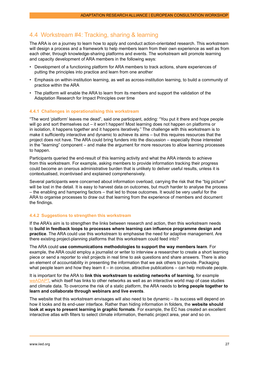## <span id="page-26-0"></span>4.4 Workstream #4: Tracking, sharing & learning

The ARA is on a journey to learn how to apply and conduct action-orientated research. This workstream will design a process and a framework to help members learn from their own experience as well as from each other, through knowledge-sharing platforms and events. The workstream will promote learning and capacity development of ARA members in the following ways:

- Development of a functioning platform for ARA members to track actions, share experiences of putting the principles into practice and learn from one another
- Emphasis on within-institution learning, as well as across-institution learning, to build a community of practice within the ARA
- The platform will enable the ARA to learn from its members and support the validation of the Adaptation Research for Impact Principles over time

## **4.4.1 Challenges in operationalising this workstream**

"The word 'platform' leaves me dead", said one participant, adding: "You put it there and hope people will go and sort themselves out – it won't happen! Most learning does not happen on platforms or in isolation, it happens together and it happens iteratively." The challenge with this workstream is to make it sufficiently interactive and dynamic to achieve its aims – but this requires resources that the project does not have. The ARA could bring funders into the discussion – especially those interested in the "learning" component – and make the argument for more resources to allow learning processes to happen.

Participants queried the end-result of this learning activity and what the ARA intends to achieve from this workstream. For example, asking members to provide information tracking their progress could become an onerous administrative burden that is unlikely to deliver useful results, unless it is contextualised, incentivised and explained comprehensively.

Several participants were concerned about information overload, carrying the risk that the "big picture" will be lost in the detail. It is easy to harvest data on outcomes, but much harder to analyse the process – the enabling and hampering factors – that led to those outcomes. It would be very useful for the ARA to organise processes to draw out that learning from the experience of members and document the findings.

## **4.4.2 Suggestions to strengthen this workstream**

If the ARA's aim is to strengthen the links between research and action, then this workstream needs to **build in feedback loops to processes where learning can influence programme design and practice**. The ARA could use this workstream to emphasise the need for adaptive management. Are there existing project-planning platforms that this workstream could feed into?

The ARA could **use communications methodologies to support the way members learn**. For example, the ARA could employ a journalist or writer to interview a researcher to create a short learning piece or send a reporter to visit projects in real time to ask questions and share answers. There is also an element of accountability in presenting the information that we ask others to provide. Packaging what people learn and how they learn it  $-$  in concise, attractive publications  $-$  can help motivate people.

It is important for the ARA to **link this workstream to existing networks of learning**, for example [weADAPT](https://www.weadapt.org/), which itself has links to other networks as well as an interactive world map of case studies and climate data. To overcome the risk of a static platform, the ARA needs to **bring people together to learn and collaborate through webinars and live events**.

The website that this workstream envisages will also need to be dynamic – its success will depend on how it looks and its end-user interface. Rather than hiding information in folders, the **website should look at ways to present learning in graphic formats**. For example, the EC has created an excellent interactive atlas with filters to select climate information, thematic project area, year and so on.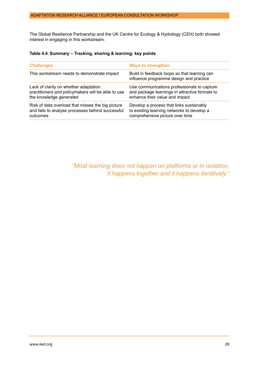The Global Resilience Partnership and the UK Centre for Ecology & Hydrology (CEH) both showed interest in engaging in this workstream.

## **Table 4.4 Summary – Tracking, sharing & learning: key points**

| <b>Challenges</b>                                                                                                      | <b>Ways to strengthen</b>                                                                                                       |
|------------------------------------------------------------------------------------------------------------------------|---------------------------------------------------------------------------------------------------------------------------------|
| This workstream needs to demonstrate impact                                                                            | Build in feedback loops so that learning can<br>influence programme design and practice                                         |
| Lack of clarity on whether adaptation<br>practitioners and policymakers will be able to use<br>the knowledge generated | Use communications professionals to capture<br>and package learnings in attractive formats to<br>enhance their value and impact |
| Risk of data overload that misses the big picture<br>and fails to analyse processes behind successful<br>outcomes      | Develop a process that links sustainably<br>to existing learning networks to develop a<br>comprehensive picture over time       |
|                                                                                                                        |                                                                                                                                 |

*"Most learning does not happen on platforms or in isolation, it happens together and it happens iteratively."*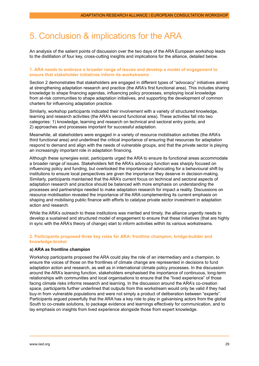# <span id="page-28-0"></span>5. Conclusion & implications for the ARA

An analysis of the salient points of discussion over the two days of the ARA European workshop leads to the distillation of four key, cross-cutting insights and implications for the alliance, detailed below.

## **1. ARA needs to embrace a broader range of issues and develop a model of engagement to ensure that stakeholder initiatives inform its workstreams**

Section 2 demonstrates that stakeholders are engaged in different types of "advocacy" initiatives aimed at strengthening adaptation research and practice (the ARA's first functional area). This includes sharing knowledge to shape financing agendas, influencing policy processes, employing local knowledge from at-risk communities to shape adaptation initiatives, and supporting the development of common charters for influencing adaptation practice.

Similarly, workshop participants indicated their involvement with a variety of structured knowledge, learning and research activities (the ARA's second functional area). These activities fall into two categories: 1) knowledge, learning and research on technical and sectoral entry points; and 2) approaches and processes important for successful adaptation.

Meanwhile, all stakeholders were engaged in a variety of resource mobilisation activities (the ARA's third functional area) and underlined the critical importance of ensuring that resources for adaptation respond to demand and align with the needs of vulnerable groups, and that the private sector is playing an increasingly important role in adaptation financing.

Although these synergies exist, participants urged the ARA to ensure its functional areas accommodate a broader range of issues. Stakeholders felt the ARA's advocacy function was sharply focused on influencing policy and funding, but overlooked the importance of advocating for a behavioural shift by institutions to ensure local perspectives are given the importance they deserve in decision-making. Similarly, participants maintained that the ARA's current focus on technical and sectoral aspects of adaptation research and practice should be balanced with more emphasis on understanding the processes and partnerships needed to make adaptation research for impact a reality. Discussions on resource mobilisation revealed the importance of the ARA complementing its current emphasis on shaping and mobilising public finance with efforts to catalyse private sector investment in adaptation action and research.

While the ARA's outreach to these institutions was merited and timely, the alliance urgently needs to develop a sustained and structured model of engagement to ensure that these initiatives (that are highly in sync with the ARA's theory of change) start to inform activities within its various workstreams.

## **2. Participants proposed three key roles for ARA: frontline champion, bridge-builder and knowledge-broker**

## **a) ARA as frontline champion**

Workshop participants proposed the ARA could play the role of an intermediary and a champion, to ensure the voices of those on the frontlines of climate change are represented in decisions to fund adaptation action and research, as well as in international climate policy processes. In the discussion around the ARA's learning function, stakeholders emphasised the importance of continuous, long-term relationships with communities and local organisations to ensure that the "lived experience" of those facing climate risks informs research and learning. In the discussion around the ARA's co-creation space, participants further underlined that outputs from this workstream would only be valid if they had buy-in from vulnerable populations and were not simply a product of deliberation between "experts". Participants argued powerfully that the ARA has a key role to play in galvanising actors from the global South to co-create solutions, to package evidence and learnings effectively for communication, and to lay emphasis on insights from lived experience alongside those from expert knowledge.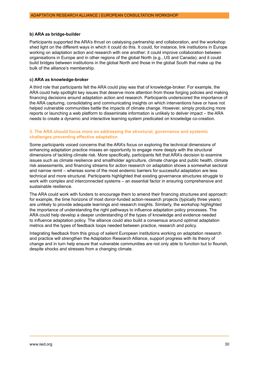#### **b) ARA as bridge-builder**

Participants supported the ARA's thrust on catalysing partnership and collaboration, and the workshop shed light on the different ways in which it could do this. It could, for instance, link institutions in Europe working on adaptation action and research with one another; it could improve collaboration between organisations in Europe and in other regions of the global North (e.g., US and Canada); and it could build bridges between institutions in the global North and those in the global South that make up the bulk of the alliance's membership.

### **c) ARA as knowledge-broker**

A third role that participants felt the ARA could play was that of knowledge-broker. For example, the ARA could help spotlight key issues that deserve more attention from those forging policies and making financing decisions around adaptation action and research. Participants underscored the importance of the ARA capturing, consolidating and communicating insights on which interventions have or have not helped vulnerable communities battle the impacts of climate change. However, simply producing more reports or launching a web platform to disseminate information is unlikely to deliver impact – the ARA needs to create a dynamic and interactive learning system predicated on knowledge co-creation.

#### **3. The ARA should focus more on addressing the structural, governance and systemic challenges preventing effective adaptation**

Some participants voiced concerns that the ARA's focus on exploring the technical dimensions of enhancing adaptation practice misses an opportunity to engage more deeply with the structural dimensions of tackling climate risk. More specifically, participants felt that ARA's decision to examine issues such as climate resilience and smallholder agriculture, climate change and public health, climate risk assessments, and financing streams for action research on adaptation shows a somewhat sectoral and narrow remit – whereas some of the most endemic barriers for successful adaptation are less technical and more structural. Participants highlighted that existing governance structures struggle to work with complex and interconnected systems – an essential factor in ensuring comprehensive and sustainable resilience.

The ARA could work with funders to encourage them to amend their financing structures and approach: for example, the time horizons of most donor-funded action-research projects (typically three years) are unlikely to provide adequate learnings and research insights. Similarly, the workshop highlighted the importance of understanding the right pathways to influence adaptation policy processes. The ARA could help develop a deeper understanding of the types of knowledge and evidence needed to influence adaptation policy. The alliance could also build a consensus around optimal adaptation metrics and the types of feedback loops needed between practice, research and policy.

Integrating feedback from this group of salient European institutions working on adaptation research and practice will strengthen the Adaptation Research Alliance, support progress with its theory of change and in turn help ensure that vulnerable communities are not only able to function but to flourish, despite shocks and stresses from a changing climate.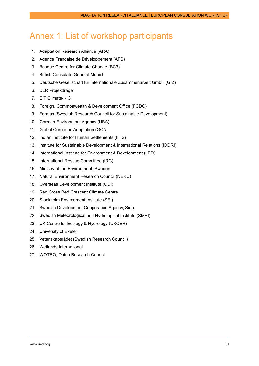# <span id="page-30-0"></span>Annex 1: List of workshop participants

- 1. Adaptation Research Alliance (ARA)
- 2. Agence Française de Développement (AFD)
- 3. Basque Centre for Climate Change (BC3)
- 4. British Consulate-General Munich
- 5. Deutsche Gesellschaft für Internationale Zusammenarbeit GmbH (GIZ)
- 6. DLR Projektträger
- 7. EIT Climate-KIC
- 8. Foreign, Commonwealth & Development Office (FCDO)
- 9. Formas (Swedish Research Council for Sustainable Development)
- 10. German Environment Agency (UBA)
- 11. Global Center on Adaptation (GCA)
- 12. Indian Institute for Human Settlements (IIHS)
- 13. Institute for Sustainable Development & International Relations (IDDRI)
- 14. International Institute for Environment & Development (IIED)
- 15. International Rescue Committee (IRC)
- 16. Ministry of the Environment, Sweden
- 17. Natural Environment Research Council (NERC)
- 18. Overseas Development Institute (ODI)
- 19. Red Cross Red Crescent Climate Centre
- 20. Stockholm Environment Institute (SEI)
- 21. Swedish Development Cooperation Agency, Sida
- 22. Swedish Meteorological and Hydrological Institute (SMHI)
- 23. UK Centre for Ecology & Hydrology (UKCEH)
- 24. University of Exeter
- 25. Vetenskapsrådet (Swedish Research Council)
- 26. Wetlands International
- 27. WOTRO, Dutch Research Council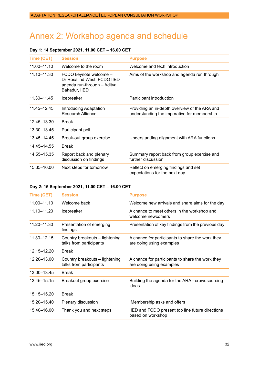# <span id="page-31-0"></span>Annex 2: Workshop agenda and schedule

## **Day 1: 14 September 2021, 11.00 CET – 16.00 CET**

| <b>Time (CET)</b> | <b>Session</b>                                                                                        | <b>Purpose</b>                                                                               |
|-------------------|-------------------------------------------------------------------------------------------------------|----------------------------------------------------------------------------------------------|
| 11.00-11.10       | Welcome to the room                                                                                   | Welcome and tech introduction                                                                |
| 11.10-11.30       | FCDO keynote welcome -<br>Dr Rosalind West, FCDO IIED<br>agenda run-through - Aditya<br>Bahadur, IIED | Aims of the workshop and agenda run through                                                  |
| 11.30-11.45       | <b>Icebreaker</b>                                                                                     | Participant introduction                                                                     |
| 11.45-12.45       | Introducing Adaptation<br>Research Alliance                                                           | Providing an in-depth overview of the ARA and<br>understanding the imperative for membership |
| 12.45-13.30       | <b>Break</b>                                                                                          |                                                                                              |
| 13.30–13.45       | Participant poll                                                                                      |                                                                                              |
| 13.45 - 14.45     | Break-out group exercise                                                                              | Understanding alignment with ARA functions                                                   |
| 14.45 - 14.55     | <b>Break</b>                                                                                          |                                                                                              |
| 14.55-15.35       | Report back and plenary<br>discussion on findings                                                     | Summary report back from group exercise and<br>further discussion                            |
| 15.35-16.00       | Next steps for tomorrow                                                                               | Reflect on emerging findings and set<br>expectations for the next day                        |

## **Day 2: 15 September 2021, 11.00 CET – 16.00 CET**

| Time (CET)    | <b>Session</b>                                            | <b>Purpose</b>                                                               |
|---------------|-----------------------------------------------------------|------------------------------------------------------------------------------|
| 11.00-11.10   | Welcome back                                              | Welcome new arrivals and share aims for the day                              |
| 11.10-11.20   | Icebreaker                                                | A chance to meet others in the workshop and<br>welcome newcomers             |
| 11.20-11.30   | Presentation of emerging<br>findings                      | Presentation of key findings from the previous day                           |
| 11.30-12.15   | Country breakouts - lightening<br>talks from participants | A chance for participants to share the work they<br>are doing using examples |
| 12.15–12.20   | <b>Break</b>                                              |                                                                              |
| 12.20-13.00   | Country breakouts - lightening<br>talks from participants | A chance for participants to share the work they<br>are doing using examples |
| 13.00-13.45   | <b>Break</b>                                              |                                                                              |
| 13.45 - 15.15 | Breakout group exercise                                   | Building the agenda for the ARA - crowdsourcing<br>ideas                     |
| 15.15-15.20   | <b>Break</b>                                              |                                                                              |
| 15.20–15.40   | Plenary discussion                                        | Membership asks and offers                                                   |
| 15.40-16.00   | Thank you and next steps                                  | IIED and FCDO present top line future directions<br>based on workshop        |